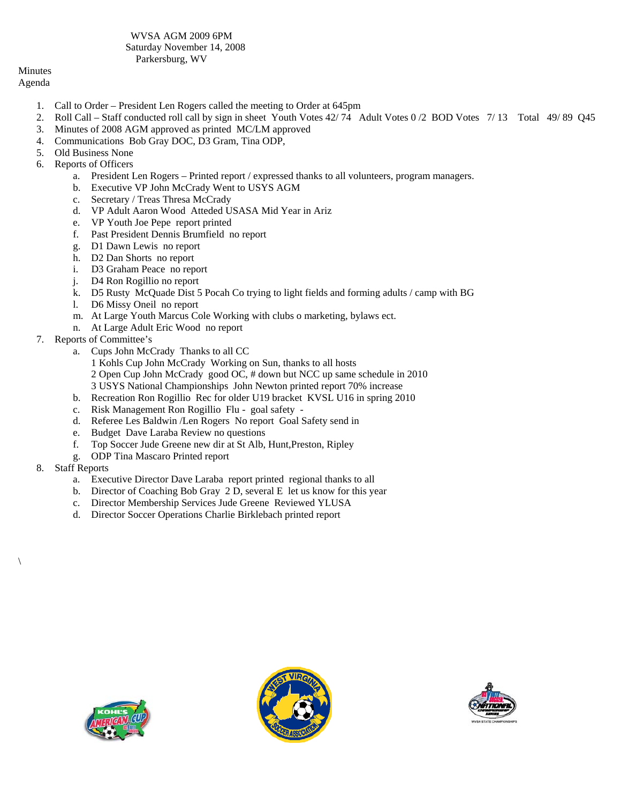WVSA AGM 2009 6PM Saturday November 14, 2008 Parkersburg, WV

## Minutes Agenda

- 1. Call to Order President Len Rogers called the meeting to Order at 645pm
- 2. Roll Call Staff conducted roll call by sign in sheet Youth Votes 42/ 74 Adult Votes 0 /2 BOD Votes 7/ 13 Total 49/ 89 Q45
- 3. Minutes of 2008 AGM approved as printed MC/LM approved
- 4. Communications Bob Gray DOC, D3 Gram, Tina ODP,
- 5. Old Business None
- 6. Reports of Officers
	- a. President Len Rogers Printed report / expressed thanks to all volunteers, program managers.
	- b. Executive VP John McCrady Went to USYS AGM
	- c. Secretary / Treas Thresa McCrady
	- d. VP Adult Aaron Wood Atteded USASA Mid Year in Ariz
	- e. VP Youth Joe Pepe report printed
	- f. Past President Dennis Brumfield no report
	- g. D1 Dawn Lewis no report
	- h. D2 Dan Shorts no report
	- i. D3 Graham Peace no report
	- j. D4 Ron Rogillio no report
	- k. D5 Rusty McQuade Dist 5 Pocah Co trying to light fields and forming adults / camp with BG
	- l. D6 Missy Oneil no report
	- m. At Large Youth Marcus Cole Working with clubs o marketing, bylaws ect.
	- n. At Large Adult Eric Wood no report
- 7. Reports of Committee's
	- a. Cups John McCrady Thanks to all CC
	- 1 Kohls Cup John McCrady Working on Sun, thanks to all hosts 2 Open Cup John McCrady good OC, # down but NCC up same schedule in 2010 3 USYS National Championships John Newton printed report 70% increase
	- b. Recreation Ron Rogillio Rec for older U19 bracket KVSL U16 in spring 2010
	- c. Risk Management Ron Rogillio Flu goal safety -
	- d. Referee Les Baldwin /Len Rogers No report Goal Safety send in
	- e. Budget Dave Laraba Review no questions
	- f. Top Soccer Jude Greene new dir at St Alb, Hunt,Preston, Ripley
	- g. ODP Tina Mascaro Printed report
- 8. Staff Reports

 $\setminus$ 

- a. Executive Director Dave Laraba report printed regional thanks to all
- b. Director of Coaching Bob Gray 2 D, several E let us know for this year
- c. Director Membership Services Jude Greene Reviewed YLUSA
- d. Director Soccer Operations Charlie Birklebach printed report





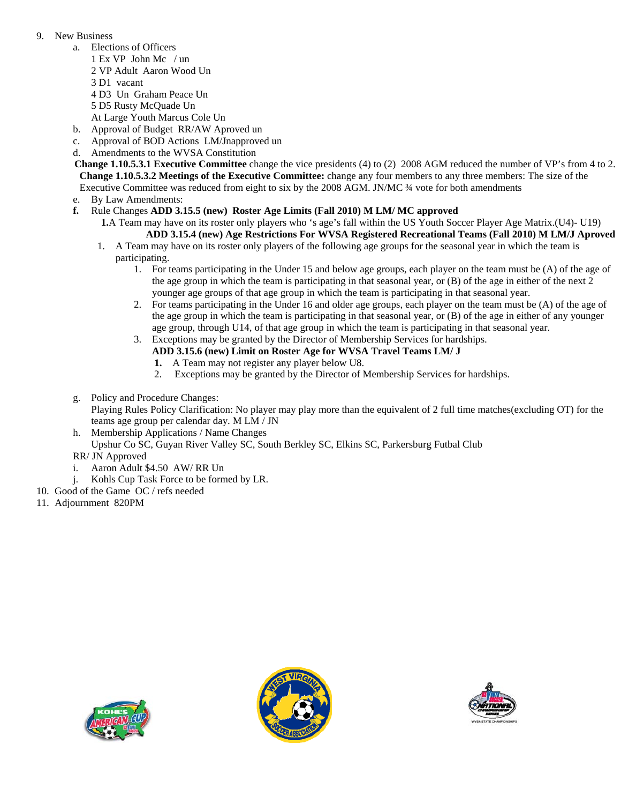## 9. New Business

- a. Elections of Officers
	- 1 Ex VP John Mc / un
	- 2 VP Adult Aaron Wood Un
	- 3 D1 vacant
	- 4 D3 Un Graham Peace Un
	- 5 D5 Rusty McQuade Un
	- At Large Youth Marcus Cole Un
- b. Approval of Budget RR/AW Aproved un c. Approval of BOD Actions LM/Jnapproved un
- d. Amendments to the WVSA Constitution
- **Change 1.10.5.3.1 Executive Committee** change the vice presidents (4) to (2) 2008 AGM reduced the number of VP's from 4 to 2.  **Change 1.10.5.3.2 Meetings of the Executive Committee:** change any four members to any three members: The size of the Executive Committee was reduced from eight to six by the 2008 AGM. JN/MC ¾ vote for both amendments
- e. By Law Amendments:
- **f.** Rule Changes **ADD 3.15.5 (new) Roster Age Limits (Fall 2010) M LM/ MC approved** 
	- **1.**A Team may have on its roster only players who 's age's fall within the US Youth Soccer Player Age Matrix.(U4)- U19) **ADD 3.15.4 (new) Age Restrictions For WVSA Registered Recreational Teams (Fall 2010) M LM/J Aproved**
		- 1. A Team may have on its roster only players of the following age groups for the seasonal year in which the team is participating.
			- 1. For teams participating in the Under 15 and below age groups, each player on the team must be (A) of the age of the age group in which the team is participating in that seasonal year, or (B) of the age in either of the next 2 younger age groups of that age group in which the team is participating in that seasonal year.
			- 2. For teams participating in the Under 16 and older age groups, each player on the team must be (A) of the age of the age group in which the team is participating in that seasonal year, or (B) of the age in either of any younger age group, through U14, of that age group in which the team is participating in that seasonal year.
			- 3. Exceptions may be granted by the Director of Membership Services for hardships. **ADD 3.15.6 (new) Limit on Roster Age for WVSA Travel Teams LM/ J** 
				- **1.** A Team may not register any player below U8.
				- 2. Exceptions may be granted by the Director of Membership Services for hardships.
- g. Policy and Procedure Changes:
	- Playing Rules Policy Clarification: No player may play more than the equivalent of 2 full time matches(excluding OT) for the teams age group per calendar day. M LM / JN
- h. Membership Applications / Name Changes Upshur Co SC, Guyan River Valley SC, South Berkley SC, Elkins SC, Parkersburg Futbal Club RR/ JN Approved
- 
- i. Aaron Adult \$4.50 AW/ RR Un
- j. Kohls Cup Task Force to be formed by LR.
- 10. Good of the Game OC / refs needed
- 11. Adjournment 820PM